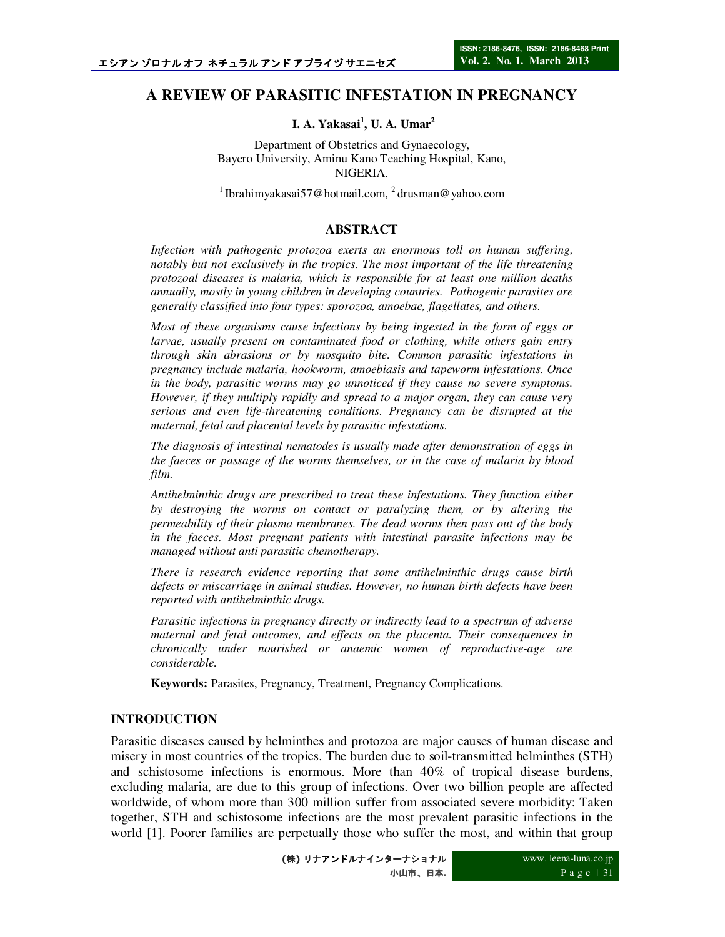# **A REVIEW OF PARASITIC INFESTATION IN PREGNANCY**

### **I. A. Yakasai<sup>1</sup> , U. A. Umar<sup>2</sup>**

Department of Obstetrics and Gynaecology, Bayero University, Aminu Kano Teaching Hospital, Kano, NIGERIA.

<sup>1</sup> Ibrahimyakasai57@hotmail.com, <sup>2</sup> drusman@yahoo.com

#### **ABSTRACT**

*Infection with pathogenic protozoa exerts an enormous toll on human suffering, notably but not exclusively in the tropics. The most important of the life threatening protozoal diseases is malaria, which is responsible for at least one million deaths annually, mostly in young children in developing countries. Pathogenic parasites are generally classified into four types: sporozoa, amoebae, flagellates, and others.* 

*Most of these organisms cause infections by being ingested in the form of eggs or larvae, usually present on contaminated food or clothing, while others gain entry through skin abrasions or by mosquito bite. Common parasitic infestations in pregnancy include malaria, hookworm, amoebiasis and tapeworm infestations. Once in the body, parasitic worms may go unnoticed if they cause no severe symptoms. However, if they multiply rapidly and spread to a major organ, they can cause very serious and even life-threatening conditions. Pregnancy can be disrupted at the maternal, fetal and placental levels by parasitic infestations.* 

*The diagnosis of intestinal nematodes is usually made after demonstration of eggs in the faeces or passage of the worms themselves, or in the case of malaria by blood film.* 

*Antihelminthic drugs are prescribed to treat these infestations. They function either by destroying the worms on contact or paralyzing them, or by altering the permeability of their plasma membranes. The dead worms then pass out of the body in the faeces. Most pregnant patients with intestinal parasite infections may be managed without anti parasitic chemotherapy.* 

*There is research evidence reporting that some antihelminthic drugs cause birth defects or miscarriage in animal studies. However, no human birth defects have been reported with antihelminthic drugs.* 

*Parasitic infections in pregnancy directly or indirectly lead to a spectrum of adverse maternal and fetal outcomes, and effects on the placenta. Their consequences in chronically under nourished or anaemic women of reproductive-age are considerable.* 

**Keywords:** Parasites, Pregnancy, Treatment, Pregnancy Complications.

### **INTRODUCTION**

Parasitic diseases caused by helminthes and protozoa are major causes of human disease and misery in most countries of the tropics. The burden due to soil-transmitted helminthes (STH) and schistosome infections is enormous. More than 40% of tropical disease burdens, excluding malaria, are due to this group of infections. Over two billion people are affected worldwide, of whom more than 300 million suffer from associated severe morbidity: Taken together, STH and schistosome infections are the most prevalent parasitic infections in the world [1]. Poorer families are perpetually those who suffer the most, and within that group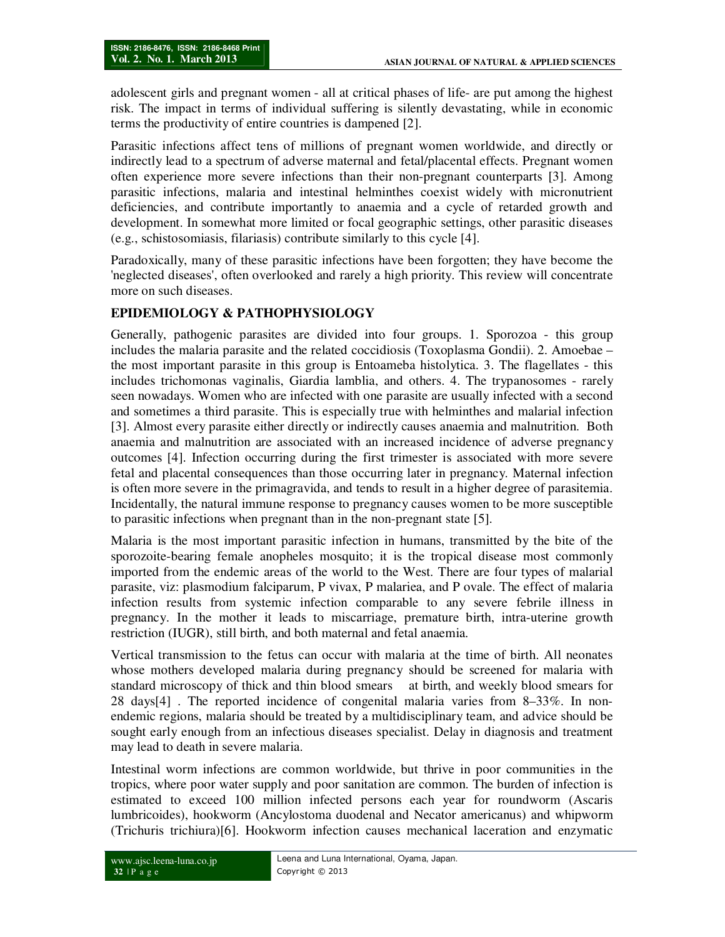adolescent girls and pregnant women - all at critical phases of life- are put among the highest risk. The impact in terms of individual suffering is silently devastating, while in economic terms the productivity of entire countries is dampened [2].

Parasitic infections affect tens of millions of pregnant women worldwide, and directly or indirectly lead to a spectrum of adverse maternal and fetal/placental effects. Pregnant women often experience more severe infections than their non-pregnant counterparts [3]. Among parasitic infections, malaria and intestinal helminthes coexist widely with micronutrient deficiencies, and contribute importantly to anaemia and a cycle of retarded growth and development. In somewhat more limited or focal geographic settings, other parasitic diseases (e.g., schistosomiasis, filariasis) contribute similarly to this cycle [4].

Paradoxically, many of these parasitic infections have been forgotten; they have become the 'neglected diseases', often overlooked and rarely a high priority. This review will concentrate more on such diseases.

## **EPIDEMIOLOGY & PATHOPHYSIOLOGY**

Generally, pathogenic parasites are divided into four groups. 1. Sporozoa - this group includes the malaria parasite and the related coccidiosis (Toxoplasma Gondii). 2. Amoebae – the most important parasite in this group is Entoameba histolytica. 3. The flagellates - this includes trichomonas vaginalis, Giardia lamblia, and others. 4. The trypanosomes - rarely seen nowadays. Women who are infected with one parasite are usually infected with a second and sometimes a third parasite. This is especially true with helminthes and malarial infection [3]. Almost every parasite either directly or indirectly causes anaemia and malnutrition. Both anaemia and malnutrition are associated with an increased incidence of adverse pregnancy outcomes [4]. Infection occurring during the first trimester is associated with more severe fetal and placental consequences than those occurring later in pregnancy. Maternal infection is often more severe in the primagravida, and tends to result in a higher degree of parasitemia. Incidentally, the natural immune response to pregnancy causes women to be more susceptible to parasitic infections when pregnant than in the non-pregnant state [5].

Malaria is the most important parasitic infection in humans, transmitted by the bite of the sporozoite-bearing female anopheles mosquito; it is the tropical disease most commonly imported from the endemic areas of the world to the West. There are four types of malarial parasite, viz: plasmodium falciparum, P vivax, P malariea, and P ovale. The effect of malaria infection results from systemic infection comparable to any severe febrile illness in pregnancy. In the mother it leads to miscarriage, premature birth, intra-uterine growth restriction (IUGR), still birth, and both maternal and fetal anaemia.

Vertical transmission to the fetus can occur with malaria at the time of birth. All neonates whose mothers developed malaria during pregnancy should be screened for malaria with standard microscopy of thick and thin blood smears at birth, and weekly blood smears for 28 days[4] . The reported incidence of congenital malaria varies from 8–33%. In nonendemic regions, malaria should be treated by a multidisciplinary team, and advice should be sought early enough from an infectious diseases specialist. Delay in diagnosis and treatment may lead to death in severe malaria.

Intestinal worm infections are common worldwide, but thrive in poor communities in the tropics, where poor water supply and poor sanitation are common. The burden of infection is estimated to exceed 100 million infected persons each year for roundworm (Ascaris lumbricoides), hookworm (Ancylostoma duodenal and Necator americanus) and whipworm (Trichuris trichiura)[6]. Hookworm infection causes mechanical laceration and enzymatic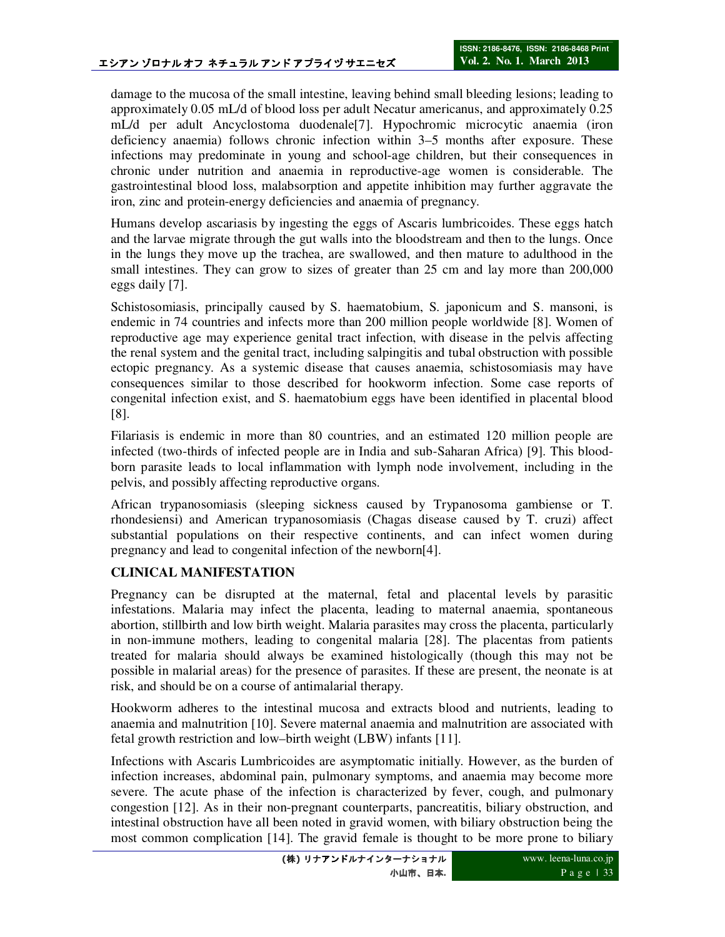damage to the mucosa of the small intestine, leaving behind small bleeding lesions; leading to approximately 0.05 mL/d of blood loss per adult Necatur americanus, and approximately 0.25 mL/d per adult Ancyclostoma duodenale[7]. Hypochromic microcytic anaemia (iron deficiency anaemia) follows chronic infection within 3–5 months after exposure. These infections may predominate in young and school-age children, but their consequences in chronic under nutrition and anaemia in reproductive-age women is considerable. The gastrointestinal blood loss, malabsorption and appetite inhibition may further aggravate the iron, zinc and protein-energy deficiencies and anaemia of pregnancy.

Humans develop ascariasis by ingesting the eggs of Ascaris lumbricoides. These eggs hatch and the larvae migrate through the gut walls into the bloodstream and then to the lungs. Once in the lungs they move up the trachea, are swallowed, and then mature to adulthood in the small intestines. They can grow to sizes of greater than 25 cm and lay more than 200,000 eggs daily [7].

Schistosomiasis, principally caused by S. haematobium, S. japonicum and S. mansoni, is endemic in 74 countries and infects more than 200 million people worldwide [8]. Women of reproductive age may experience genital tract infection, with disease in the pelvis affecting the renal system and the genital tract, including salpingitis and tubal obstruction with possible ectopic pregnancy. As a systemic disease that causes anaemia, schistosomiasis may have consequences similar to those described for hookworm infection. Some case reports of congenital infection exist, and S. haematobium eggs have been identified in placental blood [8].

Filariasis is endemic in more than 80 countries, and an estimated 120 million people are infected (two-thirds of infected people are in India and sub-Saharan Africa) [9]. This bloodborn parasite leads to local inflammation with lymph node involvement, including in the pelvis, and possibly affecting reproductive organs.

African trypanosomiasis (sleeping sickness caused by Trypanosoma gambiense or T. rhondesiensi) and American trypanosomiasis (Chagas disease caused by T. cruzi) affect substantial populations on their respective continents, and can infect women during pregnancy and lead to congenital infection of the newborn[4].

## **CLINICAL MANIFESTATION**

Pregnancy can be disrupted at the maternal, fetal and placental levels by parasitic infestations. Malaria may infect the placenta, leading to maternal anaemia, spontaneous abortion, stillbirth and low birth weight. Malaria parasites may cross the placenta, particularly in non-immune mothers, leading to congenital malaria [28]. The placentas from patients treated for malaria should always be examined histologically (though this may not be possible in malarial areas) for the presence of parasites. If these are present, the neonate is at risk, and should be on a course of antimalarial therapy.

Hookworm adheres to the intestinal mucosa and extracts blood and nutrients, leading to anaemia and malnutrition [10]. Severe maternal anaemia and malnutrition are associated with fetal growth restriction and low–birth weight (LBW) infants [11].

Infections with Ascaris Lumbricoides are asymptomatic initially. However, as the burden of infection increases, abdominal pain, pulmonary symptoms, and anaemia may become more severe. The acute phase of the infection is characterized by fever, cough, and pulmonary congestion [12]. As in their non-pregnant counterparts, pancreatitis, biliary obstruction, and intestinal obstruction have all been noted in gravid women, with biliary obstruction being the most common complication [14]. The gravid female is thought to be more prone to biliary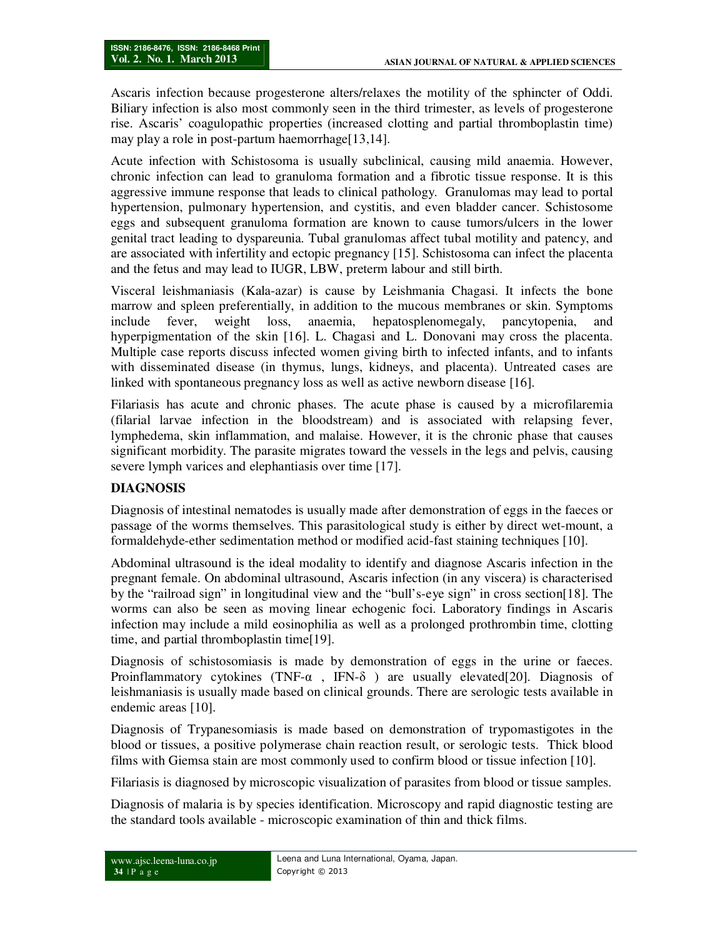Ascaris infection because progesterone alters/relaxes the motility of the sphincter of Oddi. Biliary infection is also most commonly seen in the third trimester, as levels of progesterone rise. Ascaris' coagulopathic properties (increased clotting and partial thromboplastin time) may play a role in post-partum haemorrhage[13,14].

Acute infection with Schistosoma is usually subclinical, causing mild anaemia. However, chronic infection can lead to granuloma formation and a fibrotic tissue response. It is this aggressive immune response that leads to clinical pathology. Granulomas may lead to portal hypertension, pulmonary hypertension, and cystitis, and even bladder cancer. Schistosome eggs and subsequent granuloma formation are known to cause tumors/ulcers in the lower genital tract leading to dyspareunia. Tubal granulomas affect tubal motility and patency, and are associated with infertility and ectopic pregnancy [15]. Schistosoma can infect the placenta and the fetus and may lead to IUGR, LBW, preterm labour and still birth.

Visceral leishmaniasis (Kala-azar) is cause by Leishmania Chagasi. It infects the bone marrow and spleen preferentially, in addition to the mucous membranes or skin. Symptoms include fever, weight loss, anaemia, hepatosplenomegaly, pancytopenia, and hyperpigmentation of the skin [16]. L. Chagasi and L. Donovani may cross the placenta. Multiple case reports discuss infected women giving birth to infected infants, and to infants with disseminated disease (in thymus, lungs, kidneys, and placenta). Untreated cases are linked with spontaneous pregnancy loss as well as active newborn disease [16].

Filariasis has acute and chronic phases. The acute phase is caused by a microfilaremia (filarial larvae infection in the bloodstream) and is associated with relapsing fever, lymphedema, skin inflammation, and malaise. However, it is the chronic phase that causes significant morbidity. The parasite migrates toward the vessels in the legs and pelvis, causing severe lymph varices and elephantiasis over time [17].

## **DIAGNOSIS**

Diagnosis of intestinal nematodes is usually made after demonstration of eggs in the faeces or passage of the worms themselves. This parasitological study is either by direct wet-mount, a formaldehyde-ether sedimentation method or modified acid-fast staining techniques [10].

Abdominal ultrasound is the ideal modality to identify and diagnose Ascaris infection in the pregnant female. On abdominal ultrasound, Ascaris infection (in any viscera) is characterised by the "railroad sign" in longitudinal view and the "bull's-eye sign" in cross section[18]. The worms can also be seen as moving linear echogenic foci. Laboratory findings in Ascaris infection may include a mild eosinophilia as well as a prolonged prothrombin time, clotting time, and partial thromboplastin time[19].

Diagnosis of schistosomiasis is made by demonstration of eggs in the urine or faeces. Proinflammatory cytokines (TNF- $\alpha$ , IFN- $\delta$ ) are usually elevated[20]. Diagnosis of leishmaniasis is usually made based on clinical grounds. There are serologic tests available in endemic areas [10].

Diagnosis of Trypanesomiasis is made based on demonstration of trypomastigotes in the blood or tissues, a positive polymerase chain reaction result, or serologic tests. Thick blood films with Giemsa stain are most commonly used to confirm blood or tissue infection [10].

Filariasis is diagnosed by microscopic visualization of parasites from blood or tissue samples.

Diagnosis of malaria is by species identification. Microscopy and rapid diagnostic testing are the standard tools available - microscopic examination of thin and thick films.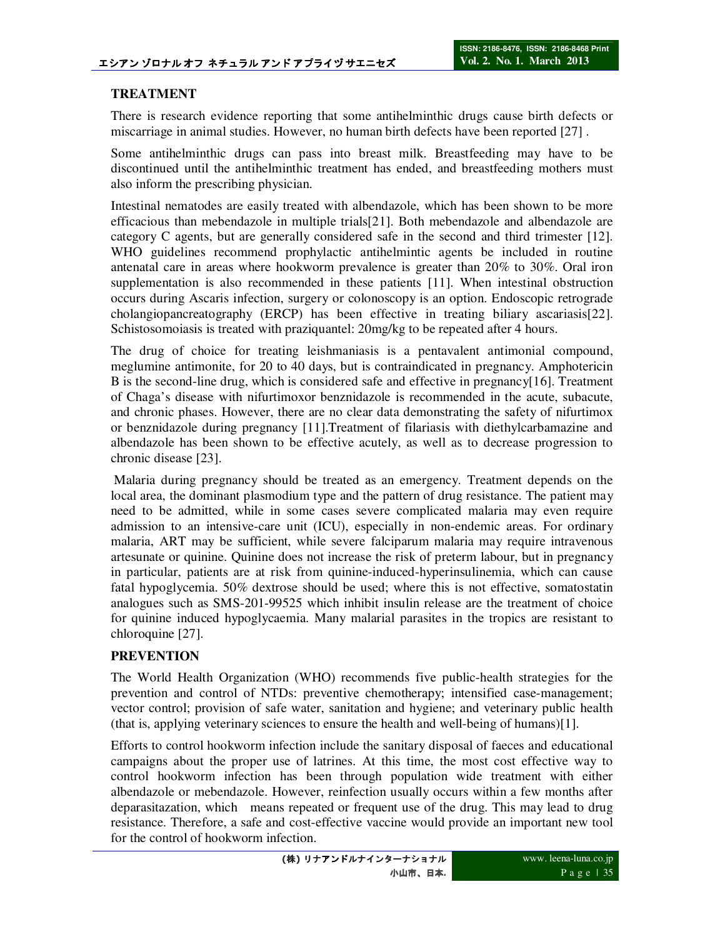## **TREATMENT**

There is research evidence reporting that some antihelminthic drugs cause birth defects or miscarriage in animal studies. However, no human birth defects have been reported [27] .

Some antihelminthic drugs can pass into breast milk. Breastfeeding may have to be discontinued until the antihelminthic treatment has ended, and breastfeeding mothers must also inform the prescribing physician.

Intestinal nematodes are easily treated with albendazole, which has been shown to be more efficacious than mebendazole in multiple trials[21]. Both mebendazole and albendazole are category C agents, but are generally considered safe in the second and third trimester [12]. WHO guidelines recommend prophylactic antihelmintic agents be included in routine antenatal care in areas where hookworm prevalence is greater than 20% to 30%. Oral iron supplementation is also recommended in these patients [11]. When intestinal obstruction occurs during Ascaris infection, surgery or colonoscopy is an option. Endoscopic retrograde cholangiopancreatography (ERCP) has been effective in treating biliary ascariasis[22]. Schistosomoiasis is treated with praziquantel: 20mg/kg to be repeated after 4 hours.

The drug of choice for treating leishmaniasis is a pentavalent antimonial compound, meglumine antimonite, for 20 to 40 days, but is contraindicated in pregnancy. Amphotericin B is the second-line drug, which is considered safe and effective in pregnancy[16]. Treatment of Chaga's disease with nifurtimoxor benznidazole is recommended in the acute, subacute, and chronic phases. However, there are no clear data demonstrating the safety of nifurtimox or benznidazole during pregnancy [11].Treatment of filariasis with diethylcarbamazine and albendazole has been shown to be effective acutely, as well as to decrease progression to chronic disease [23].

 Malaria during pregnancy should be treated as an emergency. Treatment depends on the local area, the dominant plasmodium type and the pattern of drug resistance. The patient may need to be admitted, while in some cases severe complicated malaria may even require admission to an intensive-care unit (ICU), especially in non-endemic areas. For ordinary malaria, ART may be sufficient, while severe falciparum malaria may require intravenous artesunate or quinine. Quinine does not increase the risk of preterm labour, but in pregnancy in particular, patients are at risk from quinine-induced-hyperinsulinemia, which can cause fatal hypoglycemia. 50% dextrose should be used; where this is not effective, somatostatin analogues such as SMS-201-99525 which inhibit insulin release are the treatment of choice for quinine induced hypoglycaemia. Many malarial parasites in the tropics are resistant to chloroquine [27].

### **PREVENTION**

The World Health Organization (WHO) recommends five public-health strategies for the prevention and control of NTDs: preventive chemotherapy; intensified case-management; vector control; provision of safe water, sanitation and hygiene; and veterinary public health (that is, applying veterinary sciences to ensure the health and well-being of humans)[1].

Efforts to control hookworm infection include the sanitary disposal of faeces and educational campaigns about the proper use of latrines. At this time, the most cost effective way to control hookworm infection has been through population wide treatment with either albendazole or mebendazole. However, reinfection usually occurs within a few months after deparasitazation, which means repeated or frequent use of the drug. This may lead to drug resistance. Therefore, a safe and cost-effective vaccine would provide an important new tool for the control of hookworm infection.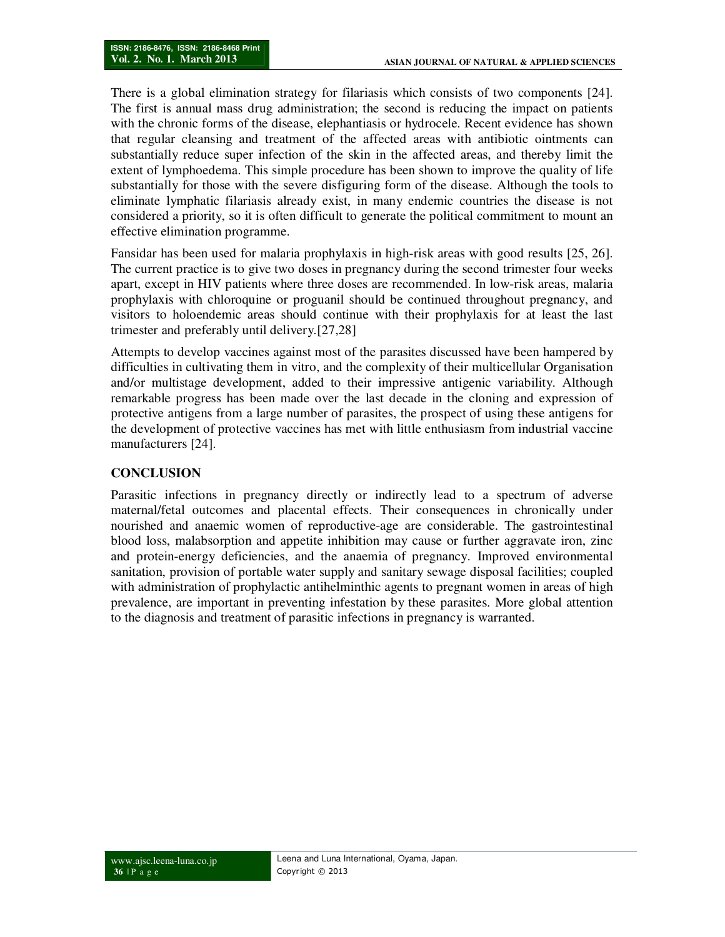There is a global elimination strategy for filariasis which consists of two components [24]. The first is annual mass drug administration; the second is reducing the impact on patients with the chronic forms of the disease, elephantiasis or hydrocele. Recent evidence has shown that regular cleansing and treatment of the affected areas with antibiotic ointments can substantially reduce super infection of the skin in the affected areas, and thereby limit the extent of lymphoedema. This simple procedure has been shown to improve the quality of life substantially for those with the severe disfiguring form of the disease. Although the tools to eliminate lymphatic filariasis already exist, in many endemic countries the disease is not considered a priority, so it is often difficult to generate the political commitment to mount an effective elimination programme.

Fansidar has been used for malaria prophylaxis in high-risk areas with good results [25, 26]. The current practice is to give two doses in pregnancy during the second trimester four weeks apart, except in HIV patients where three doses are recommended. In low-risk areas, malaria prophylaxis with chloroquine or proguanil should be continued throughout pregnancy, and visitors to holoendemic areas should continue with their prophylaxis for at least the last trimester and preferably until delivery.[27,28]

Attempts to develop vaccines against most of the parasites discussed have been hampered by difficulties in cultivating them in vitro, and the complexity of their multicellular Organisation and/or multistage development, added to their impressive antigenic variability. Although remarkable progress has been made over the last decade in the cloning and expression of protective antigens from a large number of parasites, the prospect of using these antigens for the development of protective vaccines has met with little enthusiasm from industrial vaccine manufacturers [24].

### **CONCLUSION**

Parasitic infections in pregnancy directly or indirectly lead to a spectrum of adverse maternal/fetal outcomes and placental effects. Their consequences in chronically under nourished and anaemic women of reproductive-age are considerable. The gastrointestinal blood loss, malabsorption and appetite inhibition may cause or further aggravate iron, zinc and protein-energy deficiencies, and the anaemia of pregnancy. Improved environmental sanitation, provision of portable water supply and sanitary sewage disposal facilities; coupled with administration of prophylactic antihelminthic agents to pregnant women in areas of high prevalence, are important in preventing infestation by these parasites. More global attention to the diagnosis and treatment of parasitic infections in pregnancy is warranted.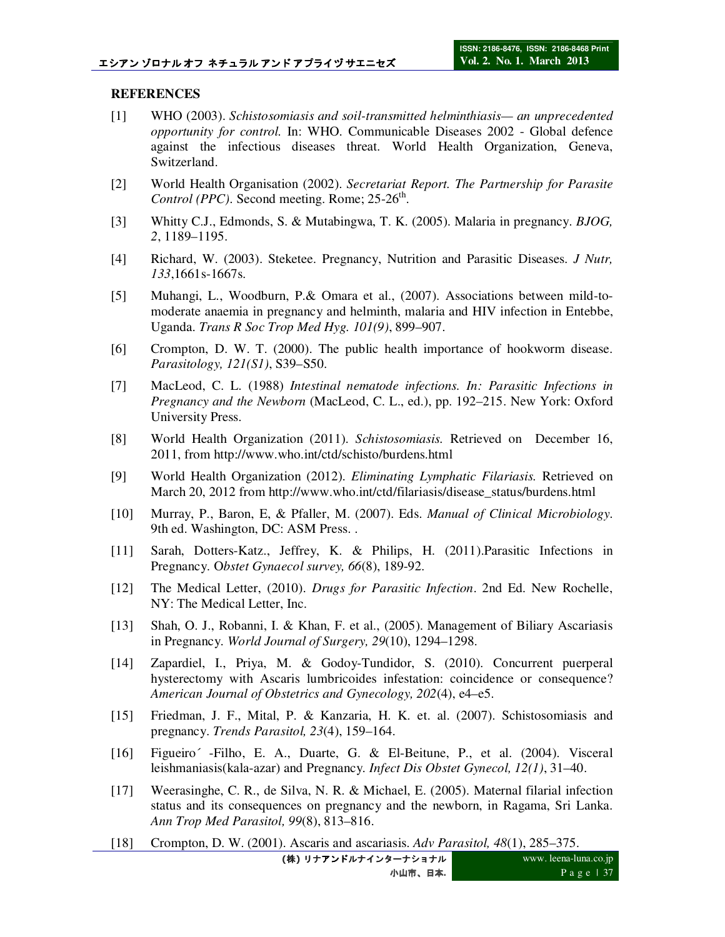### **REFERENCES**

- [1] WHO (2003). *Schistosomiasis and soil-transmitted helminthiasis— an unprecedented opportunity for control.* In: WHO. Communicable Diseases 2002 - Global defence against the infectious diseases threat. World Health Organization, Geneva, Switzerland.
- [2] World Health Organisation (2002). *Secretariat Report. The Partnership for Parasite*  Control (PPC). Second meeting. Rome; 25-26<sup>th</sup>.
- [3] Whitty C.J., Edmonds, S. & Mutabingwa, T. K. (2005). Malaria in pregnancy. *BJOG, 2*, 1189–1195.
- [4] Richard, W. (2003). Steketee. Pregnancy, Nutrition and Parasitic Diseases. *J Nutr, 133*,1661s-1667s.
- [5] Muhangi, L., Woodburn, P.& Omara et al., (2007). Associations between mild-tomoderate anaemia in pregnancy and helminth, malaria and HIV infection in Entebbe, Uganda. *Trans R Soc Trop Med Hyg. 101(9)*, 899–907.
- [6] Crompton, D. W. T. (2000). The public health importance of hookworm disease. *Parasitology, 121(S1)*, S39–S50.
- [7] MacLeod, C. L. (1988) *Intestinal nematode infections. In: Parasitic Infections in Pregnancy and the Newborn* (MacLeod, C. L., ed.), pp. 192–215. New York: Oxford University Press.
- [8] World Health Organization (2011). *Schistosomiasis.* Retrieved on December 16, 2011, from http://www.who.int/ctd/schisto/burdens.html
- [9] World Health Organization (2012). *Eliminating Lymphatic Filariasis.* Retrieved on March 20, 2012 from http://www.who.int/ctd/filariasis/disease\_status/burdens.html
- [10] Murray, P., Baron, E, & Pfaller, M. (2007). Eds. *Manual of Clinical Microbiology*. 9th ed. Washington, DC: ASM Press. .
- [11] Sarah, Dotters-Katz., Jeffrey, K. & Philips, H. (2011).Parasitic Infections in Pregnancy. O*bstet Gynaecol survey, 66*(8), 189-92.
- [12] The Medical Letter, (2010). *Drugs for Parasitic Infection*. 2nd Ed. New Rochelle, NY: The Medical Letter, Inc.
- [13] Shah, O. J., Robanni, I. & Khan, F. et al., (2005). Management of Biliary Ascariasis in Pregnancy. *World Journal of Surgery, 29*(10), 1294–1298.
- [14] Zapardiel, I., Priya, M. & Godoy-Tundidor, S. (2010). Concurrent puerperal hysterectomy with Ascaris lumbricoides infestation: coincidence or consequence? *American Journal of Obstetrics and Gynecology, 202*(4), e4–e5.
- [15] Friedman, J. F., Mital, P. & Kanzaria, H. K. et. al. (2007). Schistosomiasis and pregnancy. *Trends Parasitol, 23*(4), 159–164.
- [16] Figueiro´ -Filho, E. A., Duarte, G. & El-Beitune, P., et al. (2004). Visceral leishmaniasis(kala-azar) and Pregnancy. *Infect Dis Obstet Gynecol, 12(1)*, 31–40.
- [17] Weerasinghe, C. R., de Silva, N. R. & Michael, E. (2005). Maternal filarial infection status and its consequences on pregnancy and the newborn, in Ragama, Sri Lanka. *Ann Trop Med Parasitol, 99*(8), 813–816.
- [18] Crompton, D. W. (2001). Ascaris and ascariasis. *Adv Parasitol, 48*(1), 285–375.

**(**株**)** リナアンドルナインターナショナル 小山市、日本**.**